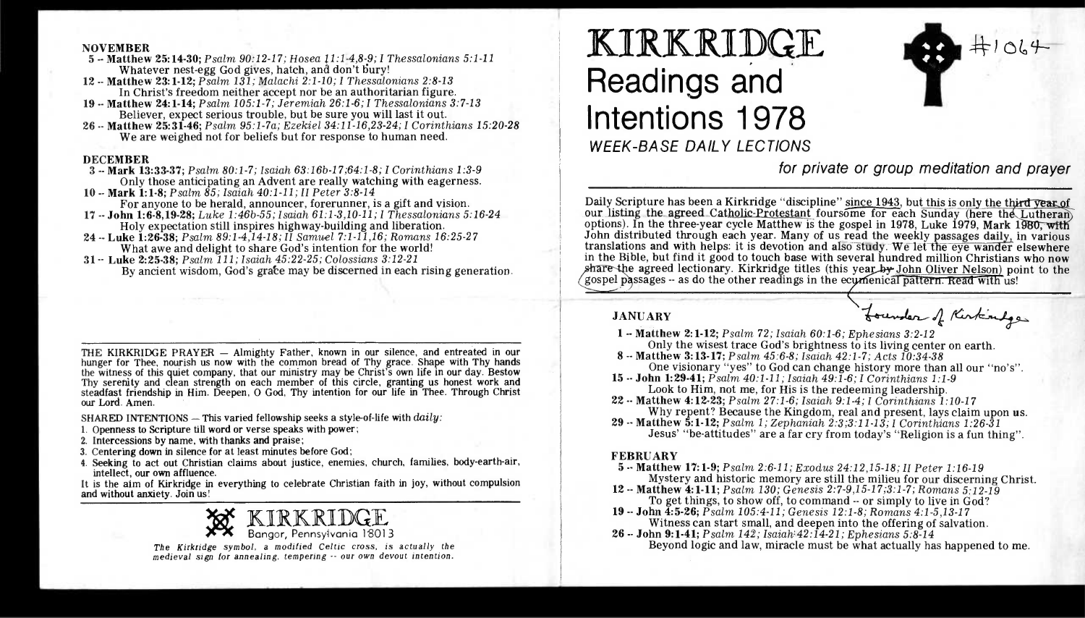#### NOVEMBER

5 -- Matthew 25:14-30; *Psalm 90:12-17; Hosea 11:1-4,8-9; I Thessalonians 5:1-11*  Whatever nest-egg God gives, hatch, and don't bury!

- 12 -- Matthew 23:1-12; *Psalm 131; Malachi 2:1-10; I Thessalonians 2:8-13*  In Christ's freedom neither accept nor be an authoritarian figure.
- 19 -- Matthew 24:1-14; *Psalm 105:1-7; Jeremiah 26:1-6; I Thessalonians 3:7-13*  Believer, expect serious trouble, but be sure you will last it out.
- 26 -- Matthew 25:31-46; *Psalm 95:1-7a; Ezekiel 34:11-16,23-24; I Corinthians 15:20-28*  We are weighed not for beliefs but for response to human need.

### DECEMBER

- 3 -- Mark 13:33-37; *Psalm 80:1-7; Isaiah 63:16b-17;64:1-8; I Corinthians 1:3-9*  Only those anticipating an Advent are really watching with eagerness.
- **10 -- Mark** 1:1-8; *Psalm 85; Isaiah 40:1-11; II Peter 3:8-14*  For anyone to be herald, announcer, forerunner, is a gift and vision.
- 17 -- John 1:6-8,19-28; *Luke 1:46b-55; Isaiah 61:1-3,10-11; I Thessalonians 5:16-24*  Holy expectation still inspires highway-building and liberation.
- 24 -- Luke **1:26-38;** *Psalm 89:1-4,14-18; II Samuel 7:1-11,16; Romans 16:25-27*  What awe and delight to share God's intention for the world!
- 31 -- Luke 2:25-38; *Psalm 111; Isaiah 45:22-25; Colossians 3:12-21*  By ancient wisdom, God's grate may be discerned in each rising generation.

THE KIRKRIDGE PRAYER — Almighty Father, known in our silence, and entreated in our hunger for Thee, nourish us now with the common bread of Thy grace. Shape with Thy hands the witness of this quiet company, that our ministry may be Christ's own life in our day. Bestow Thy serenity and clean strength on each member of this circle, granting us honest work and steadfast friendship in Him. Deepen, 0 God, Thy intention for our life in Thee. Through Christ our Lord. Amen.

SHARED INTENTIONS — This varied fellowship seeks a style-of-life with *daily:* 

- 1. Openness to Scripture till word or verse speaks with power;
- 2. Intercessions by name, with thanks and praise;
- 3. Centering down in silence for at least minutes before God;
- 4. Seeking to act out Christian claims about justice, enemies, church, families, body-earth-air, intellect, our own affluence.

It is the aim of Kirkridge in everything to celebrate Christian faith in joy, without compulsion and without anxiety. Join us!

ICIRKRIDGE Bangor, Pennsylvania 18013

*The Kirkridge symbol, a modified Celtic cross, is actually the medieval sign for annealing, tempering -- our own devout intention.* 

# **KIRKRIDGE Readings and Intentions 1978**  WEEK-BASE DAILY LECTIONS



for private or group meditation and prayer

Daily Scripture has been a Kirkridge "discipline" since 1943, but this is only the third year of our listing the agreed Catholic-Protestant foursome for each Sunday (here the Lutheran) options). In the three-year cycle Matthew is the gospel in 1978, Luke 1979, Mark 1980, with John distributed through each year. Many of us read the weekly passages daily, in various translations and with helps: it is devotion and also study. We let the eye wander elsewhere in the Bible, but find it good to touch base with several hundred million Christians who now share the agreed lectionary. Kirkridge titles (this year by John Oliver Nelson) point to the gospel passages -- as do the other readings in the ecumenical pattern. Read with us!

# JANUARY

1 -- Matthew 2:1-12; *Psalm 72; Isaiah 60:1-6; Ephesians 3:2-12* 

- Only the wisest trace God's brightness to its living center on earth.
- 8 -- Matthew 3:13-17; *Psalm 45:6-8; Isaiah 42:1-7; Acts 10:34-38*  One visionary "yes" to God can change history more than all our "no's". 15 -- **John 1:29-41;** *Psalm 40:1-11; Isaiah 49:1-6; I Corinthians 1:1-9*
- Look to Him, not me, for His is the redeeming leadership.
- 22 -- Matthew 4:12-23; *Psalm 27:1-6; Isaiah 9:1-4; I Corinthians 1:10-17*  Why repent? Because the Kingdom, real and present, lays claim upon us.
- 29 -- Matthew 5:1-12; *Psalm 1; Zephaniah 2:3;3:11-13; I Corinthians 1:26-31*  Jesus' "be-attitudes" are a far cry from today's "Religion is a fun thing".

## FEBRUARY

- 5 -- Matthew 17:1-9; *Psalm 2:6-11; Exodus 24:12,15-18; II Peter 1:16-19*  Mystery and historic memory are still the milieu for our discerning Christ.
- 12 -- Matthew 4:1-11; *Psalm 130; Genesis 2:7-9,15-17;3:1-7; Romans 5:12-19*  To get things, to show off, to command -- or simply to live in God?
- 19 -- **John 4:5-26;** *Psalm 105:4-11; Genesis 12:1-8; Romans 4:1-5,13-17*  Witness can start small, and deepen into the offering of salvation.
- 26 -- John 9:1-41; *Psalm 142; Isaiah:42:14-21; Ephesians 5:8-14*  Beyond logic and law, miracle must be what actually has happened to me.